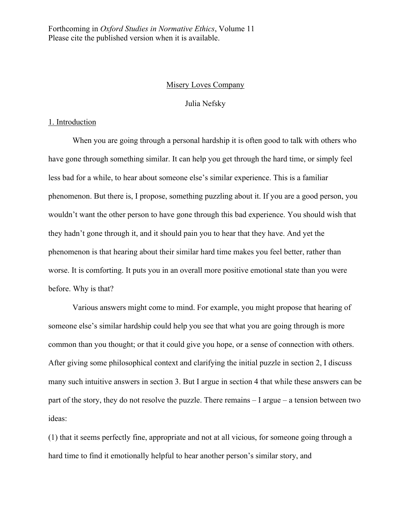Forthcoming in *Oxford Studies in Normative Ethics*, Volume 11 Please cite the published version when it is available.

## Misery Loves Company

## Julia Nefsky

# 1. Introduction

When you are going through a personal hardship it is often good to talk with others who have gone through something similar. It can help you get through the hard time, or simply feel less bad for a while, to hear about someone else's similar experience. This is a familiar phenomenon. But there is, I propose, something puzzling about it. If you are a good person, you wouldn't want the other person to have gone through this bad experience. You should wish that they hadn't gone through it, and it should pain you to hear that they have. And yet the phenomenon is that hearing about their similar hard time makes you feel better, rather than worse. It is comforting. It puts you in an overall more positive emotional state than you were before. Why is that?

Various answers might come to mind. For example, you might propose that hearing of someone else's similar hardship could help you see that what you are going through is more common than you thought; or that it could give you hope, or a sense of connection with others. After giving some philosophical context and clarifying the initial puzzle in section 2, I discuss many such intuitive answers in section 3. But I argue in section 4 that while these answers can be part of the story, they do not resolve the puzzle. There remains – I argue – a tension between two ideas:

(1) that it seems perfectly fine, appropriate and not at all vicious, for someone going through a hard time to find it emotionally helpful to hear another person's similar story, and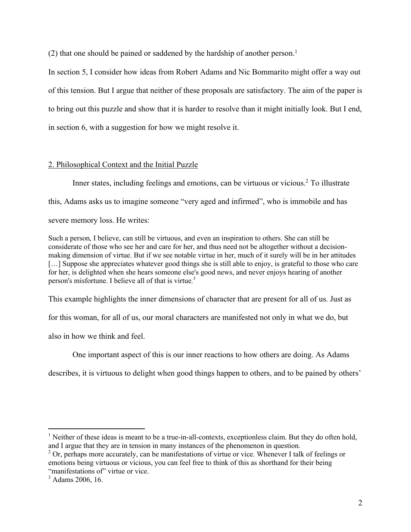$(2)$  that one should be pained or saddened by the hardship of another person.<sup>1</sup>

In section 5, I consider how ideas from Robert Adams and Nic Bommarito might offer a way out of this tension. But I argue that neither of these proposals are satisfactory. The aim of the paper is to bring out this puzzle and show that it is harder to resolve than it might initially look. But I end, in section 6, with a suggestion for how we might resolve it.

# 2. Philosophical Context and the Initial Puzzle

Inner states, including feelings and emotions, can be virtuous or vicious. <sup>2</sup> To illustrate this, Adams asks us to imagine someone "very aged and infirmed", who is immobile and has severe memory loss. He writes:

Such a person, I believe, can still be virtuous, and even an inspiration to others. She can still be considerate of those who see her and care for her, and thus need not be altogether without a decisionmaking dimension of virtue. But if we see notable virtue in her, much of it surely will be in her attitudes [...] Suppose she appreciates whatever good things she is still able to enjoy, is grateful to those who care for her, is delighted when she hears someone else's good news, and never enjoys hearing of another person's misfortune. I believe all of that is virtue.<sup>3</sup>

This example highlights the inner dimensions of character that are present for all of us. Just as

for this woman, for all of us, our moral characters are manifested not only in what we do, but

also in how we think and feel.

One important aspect of this is our inner reactions to how others are doing. As Adams

describes, it is virtuous to delight when good things happen to others, and to be pained by others'

 $<sup>1</sup>$  Neither of these ideas is meant to be a true-in-all-contexts, exceptionless claim. But they do often hold,</sup> and I argue that they are in tension in many instances of the phenomenon in question.

 $2$  Or, perhaps more accurately, can be manifestations of virtue or vice. Whenever I talk of feelings or emotions being virtuous or vicious, you can feel free to think of this as shorthand for their being "manifestations of" virtue or vice.

 $3$  Adams 2006, 16.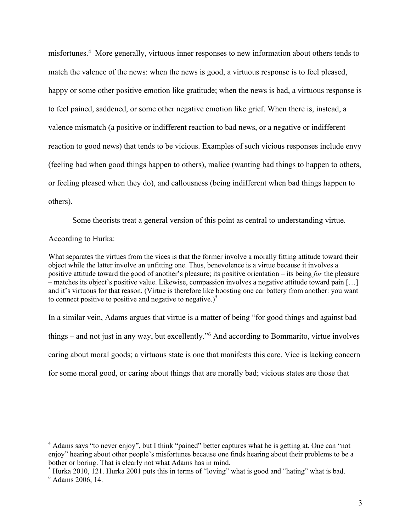misfortunes.4 More generally, virtuous inner responses to new information about others tends to match the valence of the news: when the news is good, a virtuous response is to feel pleased, happy or some other positive emotion like gratitude; when the news is bad, a virtuous response is to feel pained, saddened, or some other negative emotion like grief. When there is, instead, a valence mismatch (a positive or indifferent reaction to bad news, or a negative or indifferent reaction to good news) that tends to be vicious. Examples of such vicious responses include envy (feeling bad when good things happen to others), malice (wanting bad things to happen to others, or feeling pleased when they do), and callousness (being indifferent when bad things happen to others).

Some theorists treat a general version of this point as central to understanding virtue.

### According to Hurka:

What separates the virtues from the vices is that the former involve a morally fitting attitude toward their object while the latter involve an unfitting one. Thus, benevolence is a virtue because it involves a positive attitude toward the good of another's pleasure; its positive orientation – its being *for* the pleasure – matches its object's positive value. Likewise, compassion involves a negative attitude toward pain […] and it's virtuous for that reason. (Virtue is therefore like boosting one car battery from another: you want to connect positive to positive and negative to negative.) $^5$ 

In a similar vein, Adams argues that virtue is a matter of being "for good things and against bad things – and not just in any way, but excellently."6 And according to Bommarito, virtue involves caring about moral goods; a virtuous state is one that manifests this care. Vice is lacking concern for some moral good, or caring about things that are morally bad; vicious states are those that

<sup>5</sup> Hurka 2010, 121. Hurka 2001 puts this in terms of "loving" what is good and "hating" what is bad.

<sup>4</sup> Adams says "to never enjoy", but I think "pained" better captures what he is getting at. One can "not enjoy" hearing about other people's misfortunes because one finds hearing about their problems to be a bother or boring. That is clearly not what Adams has in mind.

<sup>6</sup> Adams 2006, 14.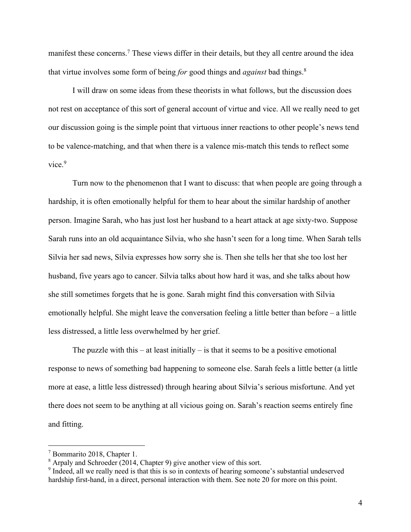manifest these concerns.<sup>7</sup> These views differ in their details, but they all centre around the idea that virtue involves some form of being *for* good things and *against* bad things. 8

I will draw on some ideas from these theorists in what follows, but the discussion does not rest on acceptance of this sort of general account of virtue and vice. All we really need to get our discussion going is the simple point that virtuous inner reactions to other people's news tend to be valence-matching, and that when there is a valence mis-match this tends to reflect some vice. 9

Turn now to the phenomenon that I want to discuss: that when people are going through a hardship, it is often emotionally helpful for them to hear about the similar hardship of another person. Imagine Sarah, who has just lost her husband to a heart attack at age sixty-two. Suppose Sarah runs into an old acquaintance Silvia, who she hasn't seen for a long time. When Sarah tells Silvia her sad news, Silvia expresses how sorry she is. Then she tells her that she too lost her husband, five years ago to cancer. Silvia talks about how hard it was, and she talks about how she still sometimes forgets that he is gone. Sarah might find this conversation with Silvia emotionally helpful. She might leave the conversation feeling a little better than before – a little less distressed, a little less overwhelmed by her grief.

The puzzle with this – at least initially – is that it seems to be a positive emotional response to news of something bad happening to someone else. Sarah feels a little better (a little more at ease, a little less distressed) through hearing about Silvia's serious misfortune. And yet there does not seem to be anything at all vicious going on. Sarah's reaction seems entirely fine and fitting.

 $7$  Bommarito 2018, Chapter 1.

<sup>&</sup>lt;sup>8</sup> Arpaly and Schroeder (2014, Chapter 9) give another view of this sort.

<sup>&</sup>lt;sup>9</sup> Indeed, all we really need is that this is so in contexts of hearing someone's substantial undeserved hardship first-hand, in a direct, personal interaction with them. See note 20 for more on this point.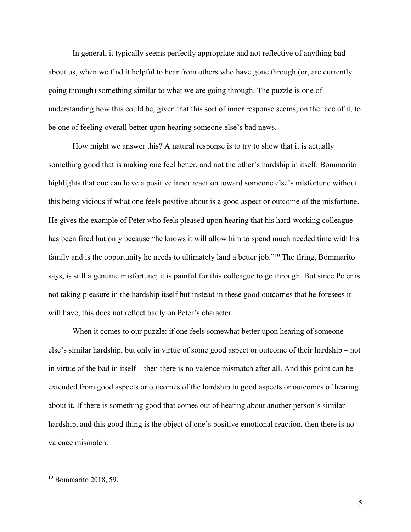In general, it typically seems perfectly appropriate and not reflective of anything bad about us, when we find it helpful to hear from others who have gone through (or, are currently going through) something similar to what we are going through. The puzzle is one of understanding how this could be, given that this sort of inner response seems, on the face of it, to be one of feeling overall better upon hearing someone else's bad news.

How might we answer this? A natural response is to try to show that it is actually something good that is making one feel better, and not the other's hardship in itself. Bommarito highlights that one can have a positive inner reaction toward someone else's misfortune without this being vicious if what one feels positive about is a good aspect or outcome of the misfortune. He gives the example of Peter who feels pleased upon hearing that his hard-working colleague has been fired but only because "he knows it will allow him to spend much needed time with his family and is the opportunity he needs to ultimately land a better job."10 The firing, Bommarito says, is still a genuine misfortune; it is painful for this colleague to go through. But since Peter is not taking pleasure in the hardship itself but instead in these good outcomes that he foresees it will have, this does not reflect badly on Peter's character.

When it comes to our puzzle: if one feels somewhat better upon hearing of someone else's similar hardship, but only in virtue of some good aspect or outcome of their hardship – not in virtue of the bad in itself – then there is no valence mismatch after all. And this point can be extended from good aspects or outcomes of the hardship to good aspects or outcomes of hearing about it. If there is something good that comes out of hearing about another person's similar hardship, and this good thing is the object of one's positive emotional reaction, then there is no valence mismatch.

 $10$  Bommarito 2018, 59.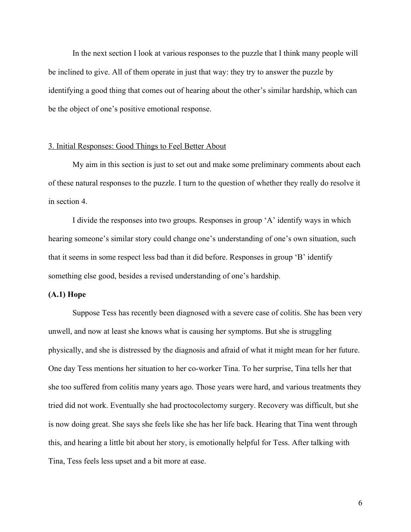In the next section I look at various responses to the puzzle that I think many people will be inclined to give. All of them operate in just that way: they try to answer the puzzle by identifying a good thing that comes out of hearing about the other's similar hardship, which can be the object of one's positive emotional response.

#### 3. Initial Responses: Good Things to Feel Better About

My aim in this section is just to set out and make some preliminary comments about each of these natural responses to the puzzle. I turn to the question of whether they really do resolve it in section 4.

I divide the responses into two groups. Responses in group 'A' identify ways in which hearing someone's similar story could change one's understanding of one's own situation, such that it seems in some respect less bad than it did before. Responses in group 'B' identify something else good, besides a revised understanding of one's hardship.

#### **(A.1) Hope**

Suppose Tess has recently been diagnosed with a severe case of colitis. She has been very unwell, and now at least she knows what is causing her symptoms. But she is struggling physically, and she is distressed by the diagnosis and afraid of what it might mean for her future. One day Tess mentions her situation to her co-worker Tina. To her surprise, Tina tells her that she too suffered from colitis many years ago. Those years were hard, and various treatments they tried did not work. Eventually she had proctocolectomy surgery. Recovery was difficult, but she is now doing great. She says she feels like she has her life back. Hearing that Tina went through this, and hearing a little bit about her story, is emotionally helpful for Tess. After talking with Tina, Tess feels less upset and a bit more at ease.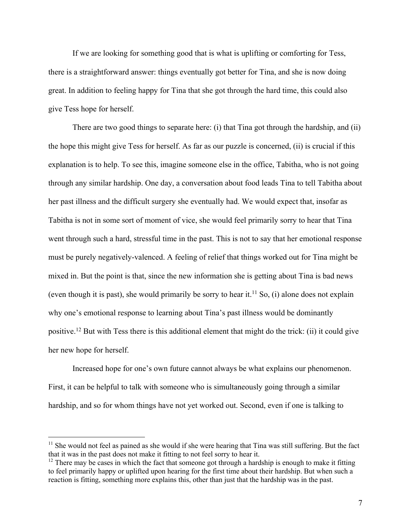If we are looking for something good that is what is uplifting or comforting for Tess, there is a straightforward answer: things eventually got better for Tina, and she is now doing great. In addition to feeling happy for Tina that she got through the hard time, this could also give Tess hope for herself.

There are two good things to separate here: (i) that Tina got through the hardship, and (ii) the hope this might give Tess for herself. As far as our puzzle is concerned, (ii) is crucial if this explanation is to help. To see this, imagine someone else in the office, Tabitha, who is not going through any similar hardship. One day, a conversation about food leads Tina to tell Tabitha about her past illness and the difficult surgery she eventually had. We would expect that, insofar as Tabitha is not in some sort of moment of vice, she would feel primarily sorry to hear that Tina went through such a hard, stressful time in the past. This is not to say that her emotional response must be purely negatively-valenced. A feeling of relief that things worked out for Tina might be mixed in. But the point is that, since the new information she is getting about Tina is bad news (even though it is past), she would primarily be sorry to hear it.<sup>11</sup> So, (i) alone does not explain why one's emotional response to learning about Tina's past illness would be dominantly positive.<sup>12</sup> But with Tess there is this additional element that might do the trick: (ii) it could give her new hope for herself.

Increased hope for one's own future cannot always be what explains our phenomenon. First, it can be helpful to talk with someone who is simultaneously going through a similar hardship, and so for whom things have not yet worked out. Second, even if one is talking to

 $11$  She would not feel as pained as she would if she were hearing that Tina was still suffering. But the fact that it was in the past does not make it fitting to not feel sorry to hear it.

 $12$  There may be cases in which the fact that someone got through a hardship is enough to make it fitting to feel primarily happy or uplifted upon hearing for the first time about their hardship. But when such a reaction is fitting, something more explains this, other than just that the hardship was in the past.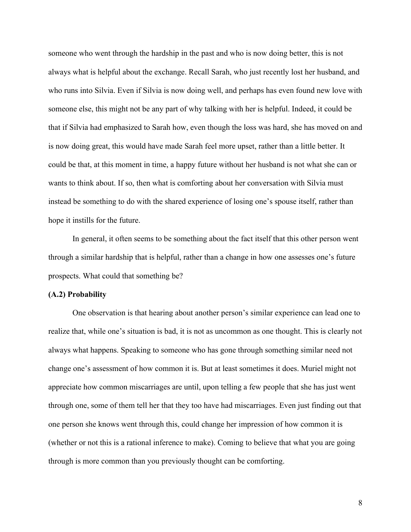someone who went through the hardship in the past and who is now doing better, this is not always what is helpful about the exchange. Recall Sarah, who just recently lost her husband, and who runs into Silvia. Even if Silvia is now doing well, and perhaps has even found new love with someone else, this might not be any part of why talking with her is helpful. Indeed, it could be that if Silvia had emphasized to Sarah how, even though the loss was hard, she has moved on and is now doing great, this would have made Sarah feel more upset, rather than a little better. It could be that, at this moment in time, a happy future without her husband is not what she can or wants to think about. If so, then what is comforting about her conversation with Silvia must instead be something to do with the shared experience of losing one's spouse itself, rather than hope it instills for the future.

In general, it often seems to be something about the fact itself that this other person went through a similar hardship that is helpful, rather than a change in how one assesses one's future prospects. What could that something be?

#### **(A.2) Probability**

One observation is that hearing about another person's similar experience can lead one to realize that, while one's situation is bad, it is not as uncommon as one thought. This is clearly not always what happens. Speaking to someone who has gone through something similar need not change one's assessment of how common it is. But at least sometimes it does. Muriel might not appreciate how common miscarriages are until, upon telling a few people that she has just went through one, some of them tell her that they too have had miscarriages. Even just finding out that one person she knows went through this, could change her impression of how common it is (whether or not this is a rational inference to make). Coming to believe that what you are going through is more common than you previously thought can be comforting.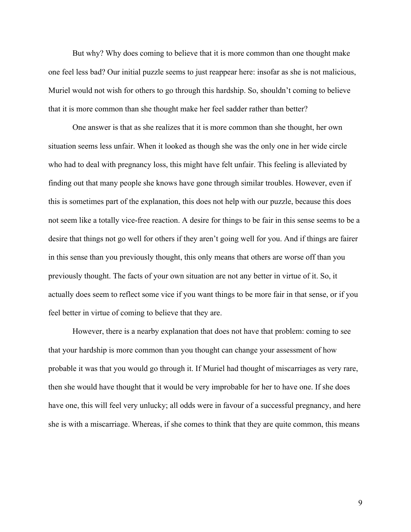But why? Why does coming to believe that it is more common than one thought make one feel less bad? Our initial puzzle seems to just reappear here: insofar as she is not malicious, Muriel would not wish for others to go through this hardship. So, shouldn't coming to believe that it is more common than she thought make her feel sadder rather than better?

One answer is that as she realizes that it is more common than she thought, her own situation seems less unfair. When it looked as though she was the only one in her wide circle who had to deal with pregnancy loss, this might have felt unfair. This feeling is alleviated by finding out that many people she knows have gone through similar troubles. However, even if this is sometimes part of the explanation, this does not help with our puzzle, because this does not seem like a totally vice-free reaction. A desire for things to be fair in this sense seems to be a desire that things not go well for others if they aren't going well for you. And if things are fairer in this sense than you previously thought, this only means that others are worse off than you previously thought. The facts of your own situation are not any better in virtue of it. So, it actually does seem to reflect some vice if you want things to be more fair in that sense, or if you feel better in virtue of coming to believe that they are.

However, there is a nearby explanation that does not have that problem: coming to see that your hardship is more common than you thought can change your assessment of how probable it was that you would go through it. If Muriel had thought of miscarriages as very rare, then she would have thought that it would be very improbable for her to have one. If she does have one, this will feel very unlucky; all odds were in favour of a successful pregnancy, and here she is with a miscarriage. Whereas, if she comes to think that they are quite common, this means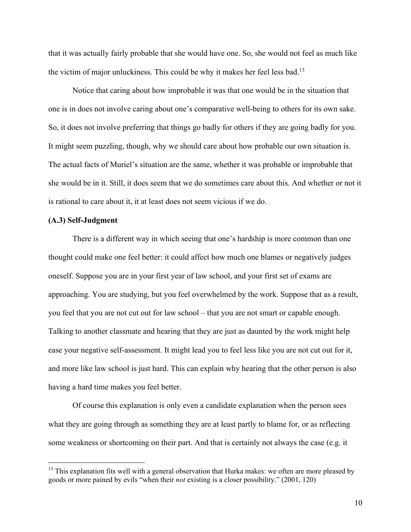that it was actually fairly probable that she would have one. So, she would not feel as much like the victim of major unluckiness. This could be why it makes her feel less bad.<sup>13</sup>

Notice that caring about how improbable it was that one would be in the situation that one is in does not involve caring about one's comparative well-being to others for its own sake. So, it does not involve preferring that things go badly for others if they are going badly for you. It might seem puzzling, though, why we should care about how probable our own situation is. The actual facts of Muriel's situation are the same, whether it was probable or improbable that she would be in it. Still, it does seem that we do sometimes care about this. And whether or not it is rational to care about it, it at least does not seem vicious if we do.

## **(A.3) Self-Judgment**

There is a different way in which seeing that one's hardship is more common than one thought could make one feel better: it could affect how much one blames or negatively judges oneself. Suppose you are in your first year of law school, and your first set of exams are approaching. You are studying, but you feel overwhelmed by the work. Suppose that as a result, you feel that you are not cut out for law school – that you are not smart or capable enough. Talking to another classmate and hearing that they are just as daunted by the work might help ease your negative self-assessment. It might lead you to feel less like you are not cut out for it, and more like law school is just hard. This can explain why hearing that the other person is also having a hard time makes you feel better.

Of course this explanation is only even a candidate explanation when the person sees what they are going through as something they are at least partly to blame for, or as reflecting some weakness or shortcoming on their part. And that is certainly not always the case (e.g. it

 $13$  This explanation fits well with a general observation that Hurka makes: we often are more pleased by goods or more pained by evils "when their *not* existing is a closer possibility." (2001, 120)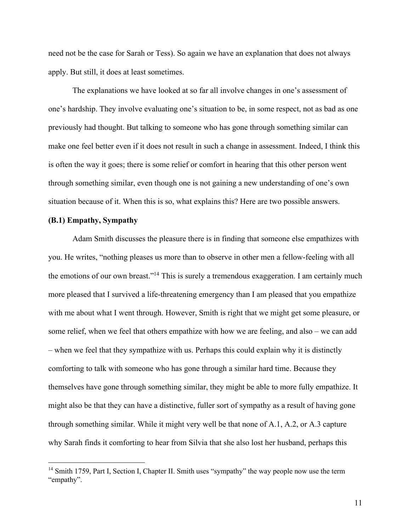need not be the case for Sarah or Tess). So again we have an explanation that does not always apply. But still, it does at least sometimes.

The explanations we have looked at so far all involve changes in one's assessment of one's hardship. They involve evaluating one's situation to be, in some respect, not as bad as one previously had thought. But talking to someone who has gone through something similar can make one feel better even if it does not result in such a change in assessment. Indeed, I think this is often the way it goes; there is some relief or comfort in hearing that this other person went through something similar, even though one is not gaining a new understanding of one's own situation because of it. When this is so, what explains this? Here are two possible answers.

#### **(B.1) Empathy, Sympathy**

Adam Smith discusses the pleasure there is in finding that someone else empathizes with you. He writes, "nothing pleases us more than to observe in other men a fellow-feeling with all the emotions of our own breast."14 This is surely a tremendous exaggeration. I am certainly much more pleased that I survived a life-threatening emergency than I am pleased that you empathize with me about what I went through. However, Smith is right that we might get some pleasure, or some relief, when we feel that others empathize with how we are feeling, and also – we can add – when we feel that they sympathize with us. Perhaps this could explain why it is distinctly comforting to talk with someone who has gone through a similar hard time. Because they themselves have gone through something similar, they might be able to more fully empathize. It might also be that they can have a distinctive, fuller sort of sympathy as a result of having gone through something similar. While it might very well be that none of A.1, A.2, or A.3 capture why Sarah finds it comforting to hear from Silvia that she also lost her husband, perhaps this

<sup>&</sup>lt;sup>14</sup> Smith 1759, Part I, Section I, Chapter II. Smith uses "sympathy" the way people now use the term "empathy".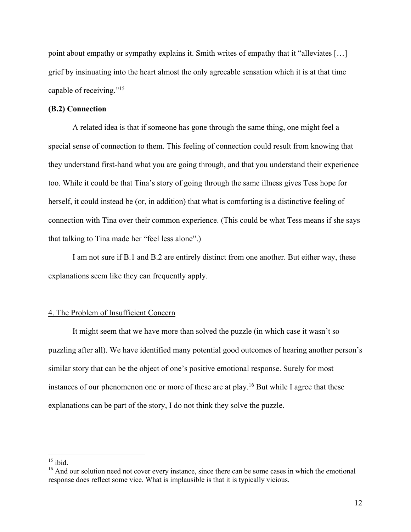point about empathy or sympathy explains it. Smith writes of empathy that it "alleviates […] grief by insinuating into the heart almost the only agreeable sensation which it is at that time capable of receiving."15

### **(B.2) Connection**

A related idea is that if someone has gone through the same thing, one might feel a special sense of connection to them. This feeling of connection could result from knowing that they understand first-hand what you are going through, and that you understand their experience too. While it could be that Tina's story of going through the same illness gives Tess hope for herself, it could instead be (or, in addition) that what is comforting is a distinctive feeling of connection with Tina over their common experience. (This could be what Tess means if she says that talking to Tina made her "feel less alone".)

I am not sure if B.1 and B.2 are entirely distinct from one another. But either way, these explanations seem like they can frequently apply.

### 4. The Problem of Insufficient Concern

It might seem that we have more than solved the puzzle (in which case it wasn't so puzzling after all). We have identified many potential good outcomes of hearing another person's similar story that can be the object of one's positive emotional response. Surely for most instances of our phenomenon one or more of these are at play.<sup>16</sup> But while I agree that these explanations can be part of the story, I do not think they solve the puzzle.

 $15$  ibid.

<sup>&</sup>lt;sup>16</sup> And our solution need not cover every instance, since there can be some cases in which the emotional response does reflect some vice. What is implausible is that it is typically vicious.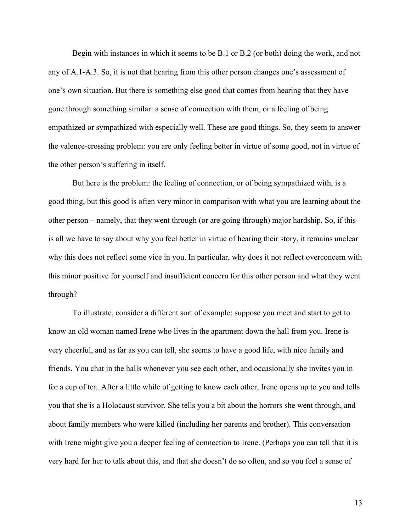Begin with instances in which it seems to be B.1 or B.2 (or both) doing the work, and not any of A.1-A.3. So, it is not that hearing from this other person changes one's assessment of one's own situation. But there is something else good that comes from hearing that they have gone through something similar: a sense of connection with them, or a feeling of being empathized or sympathized with especially well. These are good things. So, they seem to answer the valence-crossing problem: you are only feeling better in virtue of some good, not in virtue of the other person's suffering in itself.

But here is the problem: the feeling of connection, or of being sympathized with, is a good thing, but this good is often very minor in comparison with what you are learning about the other person – namely, that they went through (or are going through) major hardship. So, if this is all we have to say about why you feel better in virtue of hearing their story, it remains unclear why this does not reflect some vice in you. In particular, why does it not reflect overconcern with this minor positive for yourself and insufficient concern for this other person and what they went through?

To illustrate, consider a different sort of example: suppose you meet and start to get to know an old woman named Irene who lives in the apartment down the hall from you. Irene is very cheerful, and as far as you can tell, she seems to have a good life, with nice family and friends. You chat in the halls whenever you see each other, and occasionally she invites you in for a cup of tea. After a little while of getting to know each other, Irene opens up to you and tells you that she is a Holocaust survivor. She tells you a bit about the horrors she went through, and about family members who were killed (including her parents and brother). This conversation with Irene might give you a deeper feeling of connection to Irene. (Perhaps you can tell that it is very hard for her to talk about this, and that she doesn't do so often, and so you feel a sense of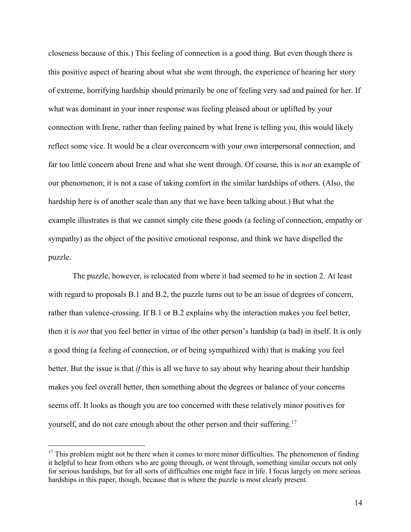closeness because of this.) This feeling of connection is a good thing. But even though there is this positive aspect of hearing about what she went through, the experience of hearing her story of extreme, horrifying hardship should primarily be one of feeling very sad and pained for her. If what was dominant in your inner response was feeling pleased about or uplifted by your connection with Irene, rather than feeling pained by what Irene is telling you, this would likely reflect some vice. It would be a clear overconcern with your own interpersonal connection, and far too little concern about Irene and what she went through. Of course, this is *not* an example of our phenomenon; it is not a case of taking comfort in the similar hardships of others. (Also, the hardship here is of another scale than any that we have been talking about.) But what the example illustrates is that we cannot simply cite these goods (a feeling of connection, empathy or sympathy) as the object of the positive emotional response, and think we have dispelled the puzzle.

The puzzle, however, is relocated from where it had seemed to be in section 2. At least with regard to proposals B.1 and B.2, the puzzle turns out to be an issue of degrees of concern, rather than valence-crossing. If B.1 or B.2 explains why the interaction makes you feel better, then it is *not* that you feel better in virtue of the other person's hardship (a bad) in itself. It is only a good thing (a feeling of connection, or of being sympathized with) that is making you feel better. But the issue is that *if* this is all we have to say about why hearing about their hardship makes you feel overall better, then something about the degrees or balance of your concerns seems off. It looks as though you are too concerned with these relatively minor positives for yourself, and do not care enough about the other person and their suffering.<sup>17</sup>

 $17$  This problem might not be there when it comes to more minor difficulties. The phenomenon of finding it helpful to hear from others who are going through, or went through, something similar occurs not only for serious hardships, but for all sorts of difficulties one might face in life. I focus largely on more serious hardships in this paper, though, because that is where the puzzle is most clearly present.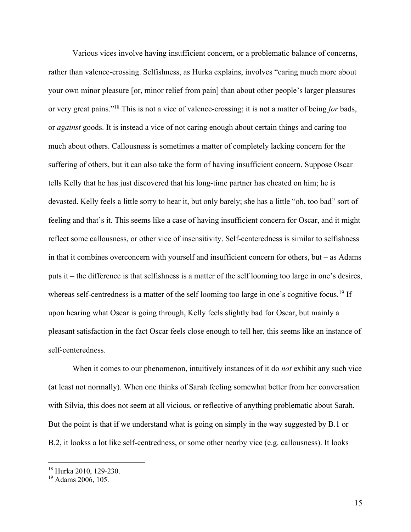Various vices involve having insufficient concern, or a problematic balance of concerns, rather than valence-crossing. Selfishness, as Hurka explains, involves "caring much more about your own minor pleasure [or, minor relief from pain] than about other people's larger pleasures or very great pains."18 This is not a vice of valence-crossing; it is not a matter of being *for* bads, or *against* goods. It is instead a vice of not caring enough about certain things and caring too much about others. Callousness is sometimes a matter of completely lacking concern for the suffering of others, but it can also take the form of having insufficient concern. Suppose Oscar tells Kelly that he has just discovered that his long-time partner has cheated on him; he is devasted. Kelly feels a little sorry to hear it, but only barely; she has a little "oh, too bad" sort of feeling and that's it. This seems like a case of having insufficient concern for Oscar, and it might reflect some callousness, or other vice of insensitivity. Self-centeredness is similar to selfishness in that it combines overconcern with yourself and insufficient concern for others, but – as Adams puts it – the difference is that selfishness is a matter of the self looming too large in one's desires, whereas self-centredness is a matter of the self looming too large in one's cognitive focus.<sup>19</sup> If upon hearing what Oscar is going through, Kelly feels slightly bad for Oscar, but mainly a pleasant satisfaction in the fact Oscar feels close enough to tell her, this seems like an instance of self-centeredness.

When it comes to our phenomenon, intuitively instances of it do *not* exhibit any such vice (at least not normally). When one thinks of Sarah feeling somewhat better from her conversation with Silvia, this does not seem at all vicious, or reflective of anything problematic about Sarah. But the point is that if we understand what is going on simply in the way suggested by B.1 or B.2, it lookss a lot like self-centredness, or some other nearby vice (e.g. callousness). It looks

<sup>18</sup> Hurka 2010, 129-230.

<sup>&</sup>lt;sup>19</sup> Adams 2006, 105.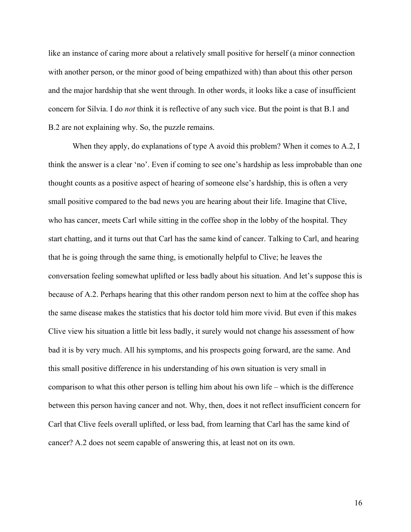like an instance of caring more about a relatively small positive for herself (a minor connection with another person, or the minor good of being empathized with) than about this other person and the major hardship that she went through. In other words, it looks like a case of insufficient concern for Silvia. I do *not* think it is reflective of any such vice. But the point is that B.1 and B.2 are not explaining why. So, the puzzle remains.

When they apply, do explanations of type A avoid this problem? When it comes to A.2, I think the answer is a clear 'no'. Even if coming to see one's hardship as less improbable than one thought counts as a positive aspect of hearing of someone else's hardship, this is often a very small positive compared to the bad news you are hearing about their life. Imagine that Clive, who has cancer, meets Carl while sitting in the coffee shop in the lobby of the hospital. They start chatting, and it turns out that Carl has the same kind of cancer. Talking to Carl, and hearing that he is going through the same thing, is emotionally helpful to Clive; he leaves the conversation feeling somewhat uplifted or less badly about his situation. And let's suppose this is because of A.2. Perhaps hearing that this other random person next to him at the coffee shop has the same disease makes the statistics that his doctor told him more vivid. But even if this makes Clive view his situation a little bit less badly, it surely would not change his assessment of how bad it is by very much. All his symptoms, and his prospects going forward, are the same. And this small positive difference in his understanding of his own situation is very small in comparison to what this other person is telling him about his own life – which is the difference between this person having cancer and not. Why, then, does it not reflect insufficient concern for Carl that Clive feels overall uplifted, or less bad, from learning that Carl has the same kind of cancer? A.2 does not seem capable of answering this, at least not on its own.

16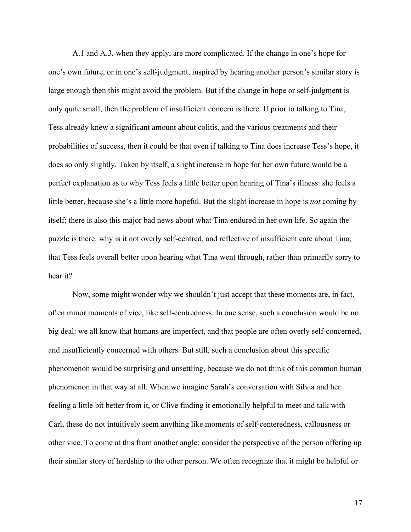A.1 and A.3, when they apply, are more complicated. If the change in one's hope for one's own future, or in one's self-judgment, inspired by hearing another person's similar story is large enough then this might avoid the problem. But if the change in hope or self-judgment is only quite small, then the problem of insufficient concern is there. If prior to talking to Tina, Tess already knew a significant amount about colitis, and the various treatments and their probabilities of success, then it could be that even if talking to Tina does increase Tess's hope, it does so only slightly. Taken by itself, a slight increase in hope for her own future would be a perfect explanation as to why Tess feels a little better upon hearing of Tina's illness: she feels a little better, because she's a little more hopeful. But the slight increase in hope is *not* coming by itself; there is also this major bad news about what Tina endured in her own life. So again the puzzle is there: why is it not overly self-centred, and reflective of insufficient care about Tina, that Tess feels overall better upon hearing what Tina went through, rather than primarily sorry to hear it?

Now, some might wonder why we shouldn't just accept that these moments are, in fact, often minor moments of vice, like self-centredness. In one sense, such a conclusion would be no big deal: we all know that humans are imperfect, and that people are often overly self-concerned, and insufficiently concerned with others. But still, such a conclusion about this specific phenomenon would be surprising and unsettling, because we do not think of this common human phenomenon in that way at all. When we imagine Sarah's conversation with Silvia and her feeling a little bit better from it, or Clive finding it emotionally helpful to meet and talk with Carl, these do not intuitively seem anything like moments of self-centeredness, callousness or other vice. To come at this from another angle: consider the perspective of the person offering up their similar story of hardship to the other person. We often recognize that it might be helpful or

17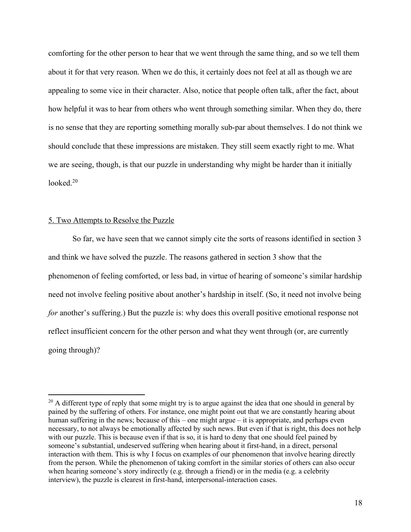comforting for the other person to hear that we went through the same thing, and so we tell them about it for that very reason. When we do this, it certainly does not feel at all as though we are appealing to some vice in their character. Also, notice that people often talk, after the fact, about how helpful it was to hear from others who went through something similar. When they do, there is no sense that they are reporting something morally sub-par about themselves. I do not think we should conclude that these impressions are mistaken. They still seem exactly right to me. What we are seeing, though, is that our puzzle in understanding why might be harder than it initially looked. $20$ 

### 5. Two Attempts to Resolve the Puzzle

So far, we have seen that we cannot simply cite the sorts of reasons identified in section 3 and think we have solved the puzzle. The reasons gathered in section 3 show that the phenomenon of feeling comforted, or less bad, in virtue of hearing of someone's similar hardship need not involve feeling positive about another's hardship in itself. (So, it need not involve being *for* another's suffering.) But the puzzle is: why does this overall positive emotional response not reflect insufficient concern for the other person and what they went through (or, are currently going through)?

 $^{20}$  A different type of reply that some might try is to argue against the idea that one should in general by pained by the suffering of others. For instance, one might point out that we are constantly hearing about human suffering in the news; because of this – one might argue – it is appropriate, and perhaps even necessary, to not always be emotionally affected by such news. But even if that is right, this does not help with our puzzle. This is because even if that is so, it is hard to deny that one should feel pained by someone's substantial, undeserved suffering when hearing about it first-hand, in a direct, personal interaction with them. This is why I focus on examples of our phenomenon that involve hearing directly from the person. While the phenomenon of taking comfort in the similar stories of others can also occur when hearing someone's story indirectly (e.g. through a friend) or in the media (e.g. a celebrity interview), the puzzle is clearest in first-hand, interpersonal-interaction cases.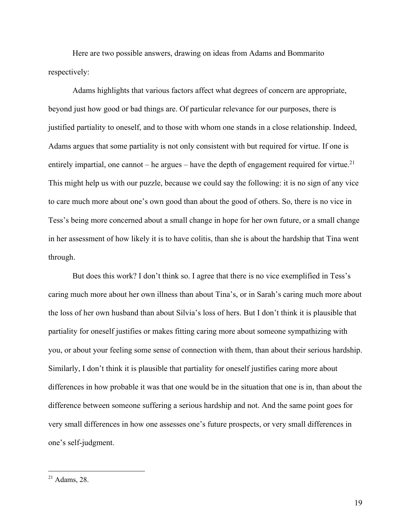Here are two possible answers, drawing on ideas from Adams and Bommarito respectively:

Adams highlights that various factors affect what degrees of concern are appropriate, beyond just how good or bad things are. Of particular relevance for our purposes, there is justified partiality to oneself, and to those with whom one stands in a close relationship. Indeed, Adams argues that some partiality is not only consistent with but required for virtue. If one is entirely impartial, one cannot – he argues – have the depth of engagement required for virtue.<sup>21</sup> This might help us with our puzzle, because we could say the following: it is no sign of any vice to care much more about one's own good than about the good of others. So, there is no vice in Tess's being more concerned about a small change in hope for her own future, or a small change in her assessment of how likely it is to have colitis, than she is about the hardship that Tina went through.

But does this work? I don't think so. I agree that there is no vice exemplified in Tess's caring much more about her own illness than about Tina's, or in Sarah's caring much more about the loss of her own husband than about Silvia's loss of hers. But I don't think it is plausible that partiality for oneself justifies or makes fitting caring more about someone sympathizing with you, or about your feeling some sense of connection with them, than about their serious hardship. Similarly, I don't think it is plausible that partiality for oneself justifies caring more about differences in how probable it was that one would be in the situation that one is in, than about the difference between someone suffering a serious hardship and not. And the same point goes for very small differences in how one assesses one's future prospects, or very small differences in one's self-judgment.

 $21$  Adams, 28.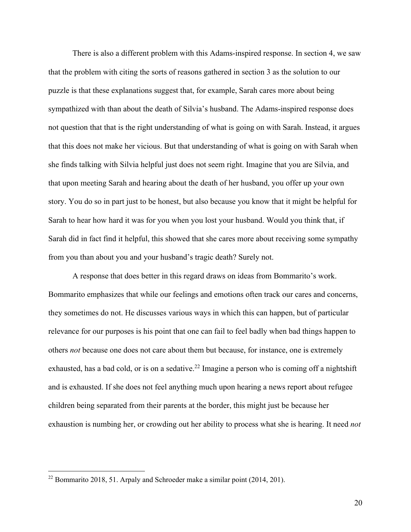There is also a different problem with this Adams-inspired response. In section 4, we saw that the problem with citing the sorts of reasons gathered in section 3 as the solution to our puzzle is that these explanations suggest that, for example, Sarah cares more about being sympathized with than about the death of Silvia's husband. The Adams-inspired response does not question that that is the right understanding of what is going on with Sarah. Instead, it argues that this does not make her vicious. But that understanding of what is going on with Sarah when she finds talking with Silvia helpful just does not seem right. Imagine that you are Silvia, and that upon meeting Sarah and hearing about the death of her husband, you offer up your own story. You do so in part just to be honest, but also because you know that it might be helpful for Sarah to hear how hard it was for you when you lost your husband. Would you think that, if Sarah did in fact find it helpful, this showed that she cares more about receiving some sympathy from you than about you and your husband's tragic death? Surely not.

A response that does better in this regard draws on ideas from Bommarito's work. Bommarito emphasizes that while our feelings and emotions often track our cares and concerns, they sometimes do not. He discusses various ways in which this can happen, but of particular relevance for our purposes is his point that one can fail to feel badly when bad things happen to others *not* because one does not care about them but because, for instance, one is extremely exhausted, has a bad cold, or is on a sedative.<sup>22</sup> Imagine a person who is coming off a nightshift and is exhausted. If she does not feel anything much upon hearing a news report about refugee children being separated from their parents at the border, this might just be because her exhaustion is numbing her, or crowding out her ability to process what she is hearing. It need *not*

 $22$  Bommarito 2018, 51. Arpaly and Schroeder make a similar point (2014, 201).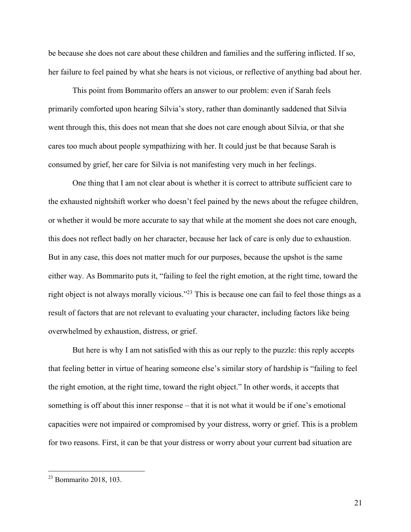be because she does not care about these children and families and the suffering inflicted. If so, her failure to feel pained by what she hears is not vicious, or reflective of anything bad about her.

This point from Bommarito offers an answer to our problem: even if Sarah feels primarily comforted upon hearing Silvia's story, rather than dominantly saddened that Silvia went through this, this does not mean that she does not care enough about Silvia, or that she cares too much about people sympathizing with her. It could just be that because Sarah is consumed by grief, her care for Silvia is not manifesting very much in her feelings.

One thing that I am not clear about is whether it is correct to attribute sufficient care to the exhausted nightshift worker who doesn't feel pained by the news about the refugee children, or whether it would be more accurate to say that while at the moment she does not care enough, this does not reflect badly on her character, because her lack of care is only due to exhaustion. But in any case, this does not matter much for our purposes, because the upshot is the same either way. As Bommarito puts it, "failing to feel the right emotion, at the right time, toward the right object is not always morally vicious."23 This is because one can fail to feel those things as a result of factors that are not relevant to evaluating your character, including factors like being overwhelmed by exhaustion, distress, or grief.

But here is why I am not satisfied with this as our reply to the puzzle: this reply accepts that feeling better in virtue of hearing someone else's similar story of hardship is "failing to feel the right emotion, at the right time, toward the right object." In other words, it accepts that something is off about this inner response – that it is not what it would be if one's emotional capacities were not impaired or compromised by your distress, worry or grief. This is a problem for two reasons. First, it can be that your distress or worry about your current bad situation are

<sup>23</sup> Bommarito 2018, 103.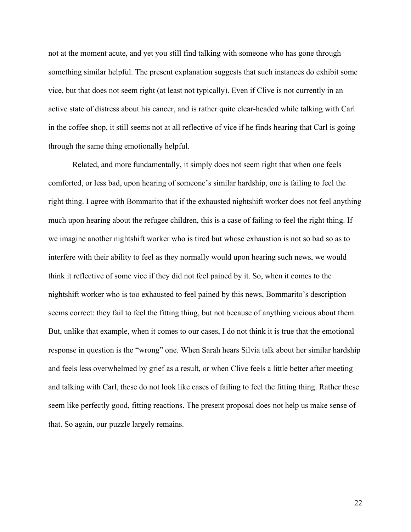not at the moment acute, and yet you still find talking with someone who has gone through something similar helpful. The present explanation suggests that such instances do exhibit some vice, but that does not seem right (at least not typically). Even if Clive is not currently in an active state of distress about his cancer, and is rather quite clear-headed while talking with Carl in the coffee shop, it still seems not at all reflective of vice if he finds hearing that Carl is going through the same thing emotionally helpful.

Related, and more fundamentally, it simply does not seem right that when one feels comforted, or less bad, upon hearing of someone's similar hardship, one is failing to feel the right thing. I agree with Bommarito that if the exhausted nightshift worker does not feel anything much upon hearing about the refugee children, this is a case of failing to feel the right thing. If we imagine another nightshift worker who is tired but whose exhaustion is not so bad so as to interfere with their ability to feel as they normally would upon hearing such news, we would think it reflective of some vice if they did not feel pained by it. So, when it comes to the nightshift worker who is too exhausted to feel pained by this news, Bommarito's description seems correct: they fail to feel the fitting thing, but not because of anything vicious about them. But, unlike that example, when it comes to our cases, I do not think it is true that the emotional response in question is the "wrong" one. When Sarah hears Silvia talk about her similar hardship and feels less overwhelmed by grief as a result, or when Clive feels a little better after meeting and talking with Carl, these do not look like cases of failing to feel the fitting thing. Rather these seem like perfectly good, fitting reactions. The present proposal does not help us make sense of that. So again, our puzzle largely remains.

22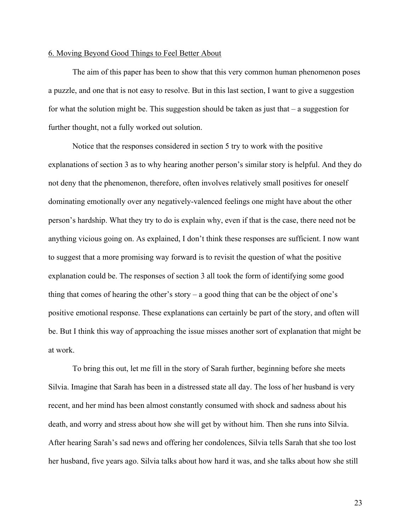### 6. Moving Beyond Good Things to Feel Better About

The aim of this paper has been to show that this very common human phenomenon poses a puzzle, and one that is not easy to resolve. But in this last section, I want to give a suggestion for what the solution might be. This suggestion should be taken as just that  $-$  a suggestion for further thought, not a fully worked out solution.

Notice that the responses considered in section 5 try to work with the positive explanations of section 3 as to why hearing another person's similar story is helpful. And they do not deny that the phenomenon, therefore, often involves relatively small positives for oneself dominating emotionally over any negatively-valenced feelings one might have about the other person's hardship. What they try to do is explain why, even if that is the case, there need not be anything vicious going on. As explained, I don't think these responses are sufficient. I now want to suggest that a more promising way forward is to revisit the question of what the positive explanation could be. The responses of section 3 all took the form of identifying some good thing that comes of hearing the other's story – a good thing that can be the object of one's positive emotional response. These explanations can certainly be part of the story, and often will be. But I think this way of approaching the issue misses another sort of explanation that might be at work.

To bring this out, let me fill in the story of Sarah further, beginning before she meets Silvia. Imagine that Sarah has been in a distressed state all day. The loss of her husband is very recent, and her mind has been almost constantly consumed with shock and sadness about his death, and worry and stress about how she will get by without him. Then she runs into Silvia. After hearing Sarah's sad news and offering her condolences, Silvia tells Sarah that she too lost her husband, five years ago. Silvia talks about how hard it was, and she talks about how she still

23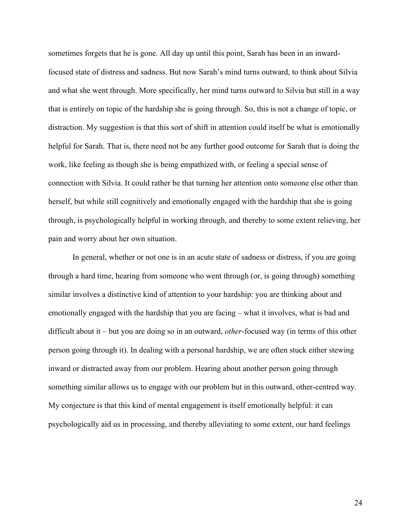sometimes forgets that he is gone. All day up until this point, Sarah has been in an inwardfocused state of distress and sadness. But now Sarah's mind turns outward, to think about Silvia and what she went through. More specifically, her mind turns outward to Silvia but still in a way that is entirely on topic of the hardship she is going through. So, this is not a change of topic, or distraction. My suggestion is that this sort of shift in attention could itself be what is emotionally helpful for Sarah. That is, there need not be any further good outcome for Sarah that is doing the work, like feeling as though she is being empathized with, or feeling a special sense of connection with Silvia. It could rather be that turning her attention onto someone else other than herself, but while still cognitively and emotionally engaged with the hardship that she is going through, is psychologically helpful in working through, and thereby to some extent relieving, her pain and worry about her own situation.

In general, whether or not one is in an acute state of sadness or distress, if you are going through a hard time, hearing from someone who went through (or, is going through) something similar involves a distinctive kind of attention to your hardship: you are thinking about and emotionally engaged with the hardship that you are facing – what it involves, what is bad and difficult about it – but you are doing so in an outward, *other*-focused way (in terms of this other person going through it). In dealing with a personal hardship, we are often stuck either stewing inward or distracted away from our problem. Hearing about another person going through something similar allows us to engage with our problem but in this outward, other-centred way. My conjecture is that this kind of mental engagement is itself emotionally helpful: it can psychologically aid us in processing, and thereby alleviating to some extent, our hard feelings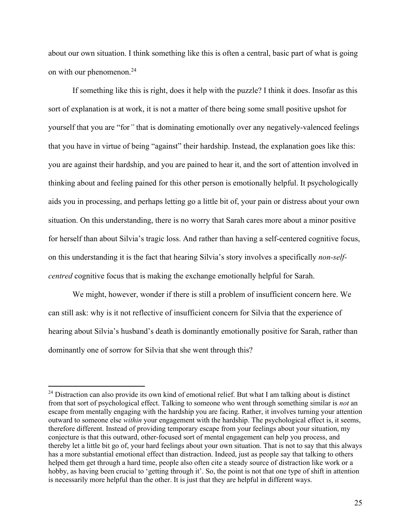about our own situation. I think something like this is often a central, basic part of what is going on with our phenomenon. 24

If something like this is right, does it help with the puzzle? I think it does. Insofar as this sort of explanation is at work, it is not a matter of there being some small positive upshot for yourself that you are "for*"* that is dominating emotionally over any negatively-valenced feelings that you have in virtue of being "against" their hardship. Instead, the explanation goes like this: you are against their hardship, and you are pained to hear it, and the sort of attention involved in thinking about and feeling pained for this other person is emotionally helpful. It psychologically aids you in processing, and perhaps letting go a little bit of, your pain or distress about your own situation. On this understanding, there is no worry that Sarah cares more about a minor positive for herself than about Silvia's tragic loss. And rather than having a self-centered cognitive focus, on this understanding it is the fact that hearing Silvia's story involves a specifically *non-selfcentred* cognitive focus that is making the exchange emotionally helpful for Sarah.

We might, however, wonder if there is still a problem of insufficient concern here. We can still ask: why is it not reflective of insufficient concern for Silvia that the experience of hearing about Silvia's husband's death is dominantly emotionally positive for Sarah, rather than dominantly one of sorrow for Silvia that she went through this?

<sup>&</sup>lt;sup>24</sup> Distraction can also provide its own kind of emotional relief. But what I am talking about is distinct from that sort of psychological effect. Talking to someone who went through something similar is *not* an escape from mentally engaging with the hardship you are facing. Rather, it involves turning your attention outward to someone else *within* your engagement with the hardship. The psychological effect is, it seems, therefore different. Instead of providing temporary escape from your feelings about your situation, my conjecture is that this outward, other-focused sort of mental engagement can help you process, and thereby let a little bit go of, your hard feelings about your own situation. That is not to say that this always has a more substantial emotional effect than distraction. Indeed, just as people say that talking to others helped them get through a hard time, people also often cite a steady source of distraction like work or a hobby, as having been crucial to 'getting through it'. So, the point is not that one type of shift in attention is necessarily more helpful than the other. It is just that they are helpful in different ways.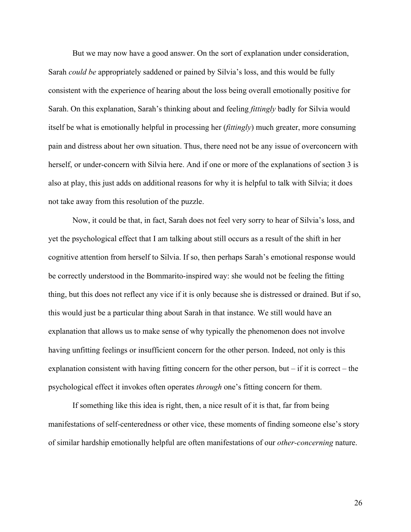But we may now have a good answer. On the sort of explanation under consideration, Sarah *could be* appropriately saddened or pained by Silvia's loss, and this would be fully consistent with the experience of hearing about the loss being overall emotionally positive for Sarah. On this explanation, Sarah's thinking about and feeling *fittingly* badly for Silvia would itself be what is emotionally helpful in processing her (*fittingly*) much greater, more consuming pain and distress about her own situation. Thus, there need not be any issue of overconcern with herself, or under-concern with Silvia here. And if one or more of the explanations of section 3 is also at play, this just adds on additional reasons for why it is helpful to talk with Silvia; it does not take away from this resolution of the puzzle.

Now, it could be that, in fact, Sarah does not feel very sorry to hear of Silvia's loss, and yet the psychological effect that I am talking about still occurs as a result of the shift in her cognitive attention from herself to Silvia. If so, then perhaps Sarah's emotional response would be correctly understood in the Bommarito-inspired way: she would not be feeling the fitting thing, but this does not reflect any vice if it is only because she is distressed or drained. But if so, this would just be a particular thing about Sarah in that instance. We still would have an explanation that allows us to make sense of why typically the phenomenon does not involve having unfitting feelings or insufficient concern for the other person. Indeed, not only is this explanation consistent with having fitting concern for the other person, but – if it is correct – the psychological effect it invokes often operates *through* one's fitting concern for them.

If something like this idea is right, then, a nice result of it is that, far from being manifestations of self-centeredness or other vice, these moments of finding someone else's story of similar hardship emotionally helpful are often manifestations of our *other-concerning* nature.

26